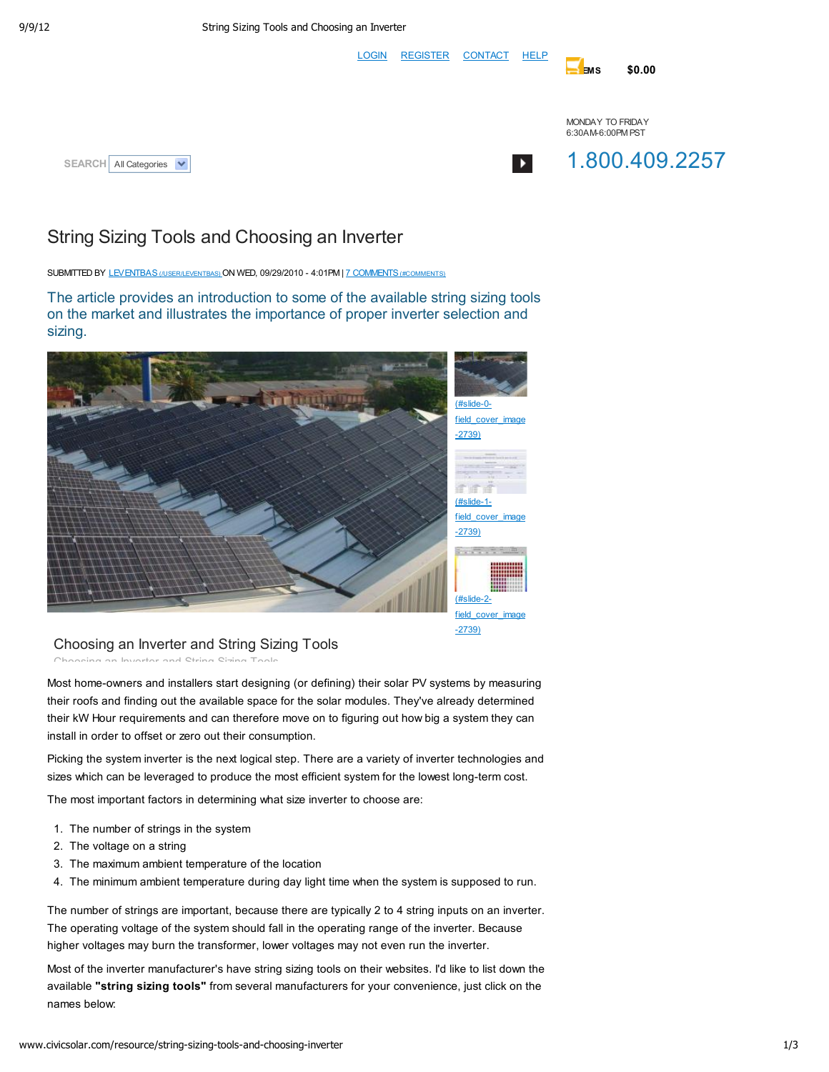LOGIN REGISTER CONTACT HELP

EMS \$0.00





# String Sizing Tools and Choosing an Inverter

SUBMITTED BY LEVENTBAS (NSER/LEVENTBAS) ON WED, 09/29/2010 - 4:01PM | 7 COMMENTS (#COMMENTS)

The article provides an introduction to some of the available string sizing tools on the market and illustrates the importance of proper inverter selection and sizing.



### Choosing an Inverter and String Sizing Tools Choosing an Inverter and String Sizing Tools

Most home-owners and installers start designing (or defining) their solar PV systems by measuring their roofs and finding out the available space for the solar modules. They've already determined their kW Hour requirements and can therefore move on to figuring out how big a system they can install in order to offset or zero out their consumption.

Picking the system inverter is the next logical step. There are a variety of inverter technologies and sizes which can be leveraged to produce the most efficient system for the lowest long-term cost.

The most important factors in determining what size inverter to choose are:

- 1. The number of strings in the system
- 2. The voltage on a string
- 3. The maximum ambient temperature of the location
- 4. The minimum ambient temperature during day light time when the system is supposed to run.

The number of strings are important, because there are typically 2 to 4 string inputs on an inverter. The operating voltage of the system should fall in the operating range of the inverter. Because higher voltages may burn the transformer, lower voltages may not even run the inverter.

Most of the inverter manufacturer's have string sizing tools on their websites. I'd like to list down the available "string sizing tools" from several manufacturers for your convenience, just click on the names below: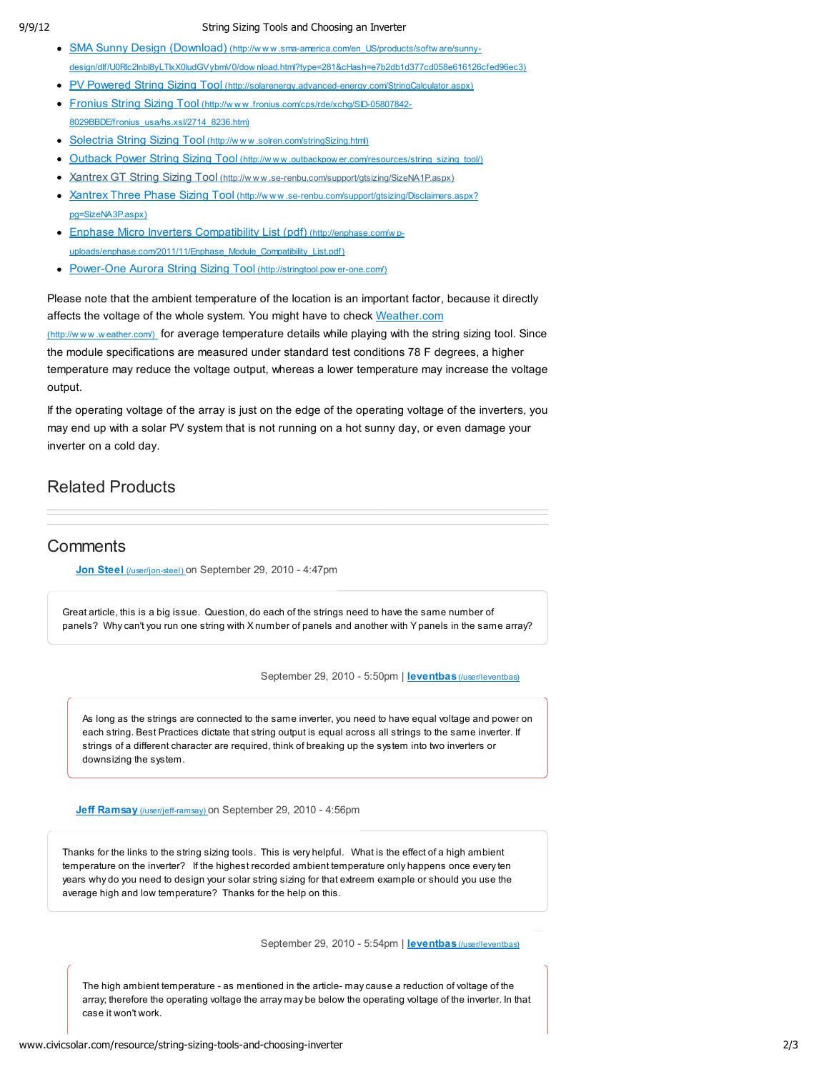#### 9/9/12 String Sizing Tools and Choosing an Inverter

- SMA Sunny Design (Download) (http://www.sma-america.com/en\_US/products/softw are/sunnydesign/dlf/U0Rlc2lnbl8yLTIxX0ludGVybmV0/dow nload.html?type=281&cHash=e7b2db1d377cd058e616126cfed96ec3)
- PV Powered String Sizing Tool (http://solarenergy.advanced-energy.com/StringCalculator.aspx) • Fronius String Sizing Tool (http://www.fronius.com/cps/rde/xchg/SID-05807842-
- 8029BBDE/fronius\_usa/hs.xsl/2714\_8236.htm)
- Solectria String Sizing Tool (http://www.solren.com/stringSizing.html)
- Outback Power String Sizing Tool (http://www.outbackpow er.com/resources/string\_sizing\_tool/)
- Xantrex GT String Sizing Tool (http://www.se-renbu.com/support/gtsizing/SizeNA1P.aspx)
- Xantrex Three Phase Sizing Tool (http://www.se-renbu.com/support/qtsizing/Disclaimers.aspx? pg=SizeNA3P.aspx)
- Enphase Micro Inverters Compatibility List (pdf) (http://enphase.com/w puploads/enphase.com/2011/11/Enphase\_Module\_Compatibility\_List.pdf)
- Power-One Aurora String Sizing Tool (http://stringtool.pow er-one.com/)

Please note that the ambient temperature of the location is an important factor, because it directly affects the voltage of the whole system. You might have to check Weather.com (http://www.weather.com/) for average temperature details while playing with the string sizing tool. Since the module specifications are measured under standard test conditions 78 F degrees, a higher temperature may reduce the voltage output, whereas a lower temperature may increase the voltage output.

If the operating voltage of the array is just on the edge of the operating voltage of the inverters, you may end up with a solar PV system that is not running on a hot sunny day, or even damage your inverter on a cold day.

## Related Products

## **Comments**

Jon Steel (/user/jon-steel) on September 29, 2010 - 4:47pm

Great article, this is a big issue. Question, do each of the strings need to have the same number of panels? Why can't you run one string with X number of panels and another with Y panels in the same array?

September 29, 2010 - 5:50pm | leventbas (/user/leventbas)

As long as the strings are connected to the same inverter, you need to have equal voltage and power on each string. Best Practices dictate that string output is equal across all strings to the same inverter. If strings of a different character are required, think of breaking up the system into two inverters or downsizing the system.

Jeff Ramsay (/user/jeff-ramsay) on September 29, 2010 - 4:56pm

Thanks for the links to the string sizing tools. This is very helpful. What is the effect of a high ambient temperature on the inverter? If the highest recorded ambient temperature only happens once every ten years why do you need to design your solar string sizing for that extreem example or should you use the average high and low temperature? Thanks for the help on this.

September 29, 2010 - 5:54pm | leventbas (/user/leventbas)

The high ambient temperature - as mentioned in the article- may cause a reduction of voltage of the array; therefore the operating voltage the array may be below the operating voltage of the inverter. In that case it won't work.